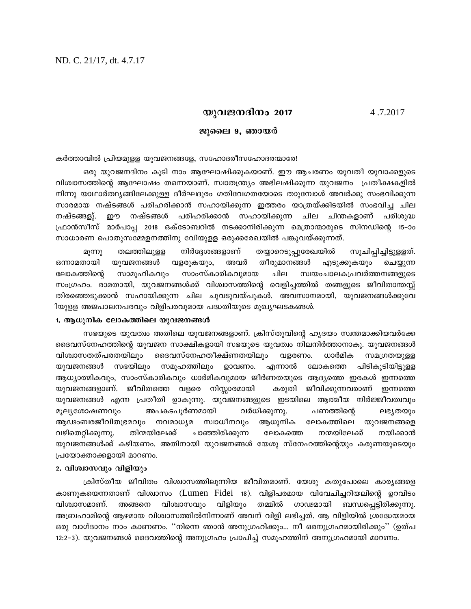# **bphP\Zn\w 2017** 4 .7.2017

### ജുലൈ 9, ഞായ**ർ**

കർത്താവിൽ പ്രിയമുള്ള യുവജനങ്ങളേ, സഹോദരീസഹോദരന്മാരേ!

ഒരു യുവജനദിനം കൂടി നാം ആഘോഷിക്കുകയാണ്. ഈ ആചരണം യുവതീ യുവാക്കളുടെ വിശ്വാസത്തിന്റെ ആഘോഷം തന്നെയാണ്. സ്വാതന്ത്ര്യം അഭിലഷിക്കുന്ന യുവജനം പ്രതീക്ഷകളിൽ നിന്നു യാഥാർത്ഥ്യങ്ങിലേക്കുള്ള ദീർഘദൂരം ഗതിവേഗതയോടെ താുമ്പോൾ അവർക്കു സംഭവിക്കുന്ന സാരമായ നഷ്ടങ്ങൾ പരിഹരിക്കാൻ സഹായിക്കുന്ന ഇത്തരം യാത്രയ്ക്കിടയിൽ സംഭവിച്ച ചില നഷ്ടങ്ങളു്. ഈ നഷ്ടങ്ങൾ പരിഹരിക്കാൻ സഹായിക്കുന്ന ചില ചിന്തകളാണ് പരിശുദ്ധ  $_{\rm (AD}$ ാൻസീസ് മാർപാപ്പ 2018 ഒക്ടോബറിൽ നടക്കാനിരിക്കുന്ന മെത്രാന്മാരുടെ സിനഡിന്റെ 15–ാം സാധാരണ പൊതുസമ്മേളനത്തിനു വിേയുളള ഒരുക്കരേഖയിൽ പങ്കുവയ്ക്കുന്നത്.

മൂന്നു തലത്തിലുളള നിർദ്ദേശങ്ങളാണ് തയ്യാറെടുപ്പുരേഖയിൽ സൂചിപ്പിച്ചിട്ടുളളത്. . ഒന്നാമതായി യുവജനങ്ങൾ വളരുകയും, അവർ തീരുമാനങ്ങൾ എടുക്കുകയും ചെയ്യുന്ന ലോകത്തിന്റെ സാമൂഹികവും സാംസ്കാരികവുമായ ചില സ്വയംചാലകപ്രവർത്തനങ്ങളുടെ സംഗ്രഹം. രാമതായി, യുവജനങ്ങൾക്ക് വിശ്വാസത്തിന്റെ വെളിച്ചത്തിൽ തങ്ങളുടെ ജീവിതാന്തസ്സ് തിരഞ്ഞെടുക്കാൻ സഹായിക്കുന്ന ചില ചുവടുവയ്പുകൾ. അവസാനമായി, യുവജനങ്ങൾക്കുവേ ിയുള്ള അജപാലനപരവും വിളിപരവുമായ പദ്ധതിയുടെ മുഖ്യഘടകങ്ങൾ.

#### 1. ആധുനിക ലോകത്തിലെ യുവജനങ്ങൾ

സഭയുടെ യുവത്വം അതിലെ യുവജനങ്ങളാണ്. ക്രിസ്തുവിന്റെ ഹൃദയം സ്വന്തമാക്കിയവർക്കേ ദെവസ്നേഹത്തിന്റെ യുവജന സാക്ഷികളായി സഭയുടെ യുവത്വം നിലനിർത്താനാകൂ. യുവജനങ്ങൾ വിശ്വാസതത്പരതയിലും ദൈവസ്നേഹതീക്ഷ്ണതയിലും വളരണം. ധാർമിക സമഗ്രതയുളള യുവജനങ്ങൾ സഭയിലും സമൂഹത്തിലും ഉാവണം. എന്നാൽ ലോകത്തെ പിടികൂടിയിട്ടുള്ള ആധ്യാത്മികവും, സാംസ്കാരികവും ധാർമികവുമായ ജീർണതയുടെ ആദ്യത്തെ ഇരകൾ ഇന്നത്തെ യുവജനങ്ങളാണ്. ജീവിതത്തെ വളരെ നിസ്സാരമായി കരുതി ജീവിക്കുന്നവരാണ് ഇന്നത്തെ യുവജനങ്ങൾ എന്ന പ്രതീതി ഉാകുന്നു. യുവജനങ്ങളുടെ ഇടയിലെ ആത്മീയ നിർജ്ജീവത്വവും മൂല്യശോഷണവും അപകടപൂർണമായി വർധിക്കുന്നു. പണത്തിന്റെ ലഭ്യതയും ആഢംബരജീവിതഭ്രമവും നവമാധ്യമ സ്വാധീനവും ആധുനിക ലോകത്തിലെ യുവജനങ്ങളെ വഴിതെറ്റിക്കുന്നു. തിന്മയിലേക്ക് ചാഞ്ഞിരിക്കുന്ന ലോകത്തെ നന്മയിലേക്ക് നയിക്കാൻ യുവജനങ്ങൾക്ക് കഴിയണം. അതിനായി യുവജനങ്ങൾ യേശു സ്നേഹത്തിന്റെയും കരുണയുടെയും പ്രയോക്താക്കളായി മാറണം.

## 2. വിശ്വാസവും വിളിയും

 ${1}$ കിസ്തീയ ജീവിതം വിശ്വാസത്തിലൂന്നിയ ജീവിതമാണ്. യേശു കതുപോലെ കാര്യങ്ങളെ കാണുകയെന്നതാണ് വിശ്വാസം (Lumen Fidei 18). വിളിപരമായ വിവേചിച്ചറിയലിന്റെ ഉറവിടം വിശ്വാസമാണ്. അങ്ങനെ വിശ്വാസവും വിളിയും തമ്മിൽ ഗാഢമായി ബന്ധപ്പെട്ടിരിക്കുന്നു. അബ്രഹാമിന്റെ ആഴമായ വിശ്വാസത്തിൽനിന്നാണ് അവന് വിളി ലഭിച്ചത്. ആ വിളിയിൽ ശ്രദ്ധേയമായ ഒരു വാഗ്ദാനം നാം കാണണം. ''നിന്നെ ഞാൻ അനുഗ്രഹിക്കും... നീ ഒരനുഗ്രഹമായിരിക്കും'' (ഉത്പ 12:2-3). യുവജനങ്ങൾ ദൈവത്തിന്റെ അനുഗ്രഹം പ്രാപിച്ച് സമൂഹത്തിന് അനുഗ്രഹമായി മാറണം.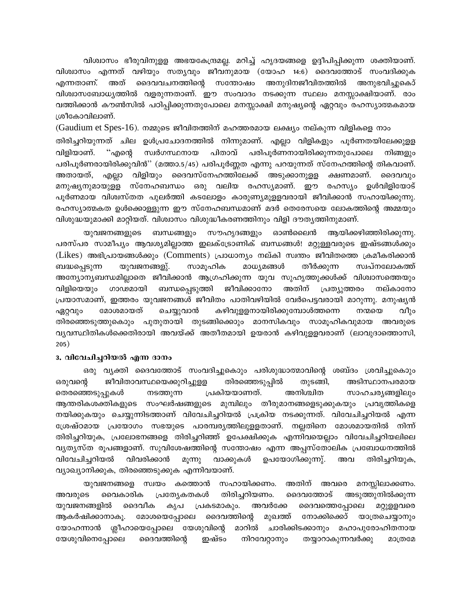വിശ്വാസം ഭീരുവിനുളള അഭയകേന്ദ്രമല്ല. മറിച്ച് ഹൃദയങ്ങളെ ഉദ്ദീപിപ്പിക്കുന്ന ശക്തിയാണ്. വിശ്വാസം എന്നത് വഴിയും സതൃവും ജീവനുമായ (യോഹ 14:6) ദൈവത്തോട് സംവദിക്കുക എന്നതാണ്. അത് ദൈവവചനത്തിന്റെ സന്തോഷം അനുദിനജീവിതത്തിൽ അനുഭവിച്ചുകൊ് വിശ്വാസബോധ്യത്തിൽ വളരുന്നതാണ്. ഈ സംവാദം നടക്കുന്ന സ്ഥലം മനസ്സാക്ഷിയാണ്. രാം വത്തിക്കാൻ കൗൺസിൽ പഠിപ്പിക്കുന്നതുപോലെ മനസ്സാക്ഷി മനുഷ്യന്റെ ഏറ്റവും രഹസ്യാത്മകമായ ശ്രീകോവിലാണ്.

(Gaudium et Spes-16). നമ്മുടെ ജീവിതത്തിന് മഹത്തരമായ ലക്ഷ്യം നല്കുന്ന വിളികളെ നാം തിരിച്ചറിയുന്നത് ചില ഉൾപ്രചോദനത്തിൽ നിന്നുമാണ്. എല്ലാ വിളികളും പൂർണതയിലേക്കുളള വിളിയാണ്. ് എന്റെ സ്വർഗസ്ഥനായ പിതാവ് പരിപൂർണനായിരിക്കുന്നതുപോലെ നിങ്ങളും പരിപൂർണരായിരിക്കുവിൻ'' (മത്താ.5/45) പരിപൂർണ്ണത എന്നു പറയുന്നത് സ്നേഹത്തിന്റെ തികവാണ്. വിളിയും ദൈവസ്നേഹത്തിലേക്ക് അടുക്കാനുളള ക്ഷണമാണ്. ദൈവവും അതായത്, എല്ലാ മനുഷ്യനുമായുളള സ്നേഹബന്ധം ഒരു വലിയ രഹസ്യമാണ്. ഈ രഹസ്യം ഉൾവിളിയോട് പൂർണമായ വിശ്വസ്തത പുലർത്തി കടലോളം കാരുണ്യമുളളവരായി ജീവിക്കാൻ സഹായിക്കുന്നു. രഹസ്യാത്മകത ഉൾക്കൊള്ളുന്ന ഈ സ്നേഹബന്ധമാണ് മദർ തെരേസയെ ലോകത്തിന്റെ അമ്മയും വിശുദ്ധയുമാക്കി മാറ്റിയത്. വിശ്വാസം വിശുദ്ധീകരണത്തിനും വിളി ദൗതൃത്തിനുമാണ്.

യുവജനങ്ങളുടെ ബന്ധങ്ങളും സൗഹൃദങ്ങളും ഓൺലൈൻ ആയിക്കഴിഞ്ഞിരിക്കുന്നു. പരസ്പര സാമീപ്യം ആവശ്യമില്ലാത്ത ഇലക്ട്രോണിക് ബന്ധങ്ങൾ! മറ്റുള്ളവരുടെ ഇഷ്ടങ്ങൾക്കും (Likes) അഭിപ്രായങ്ങൾക്കും (Comments) പ്രാധാന്യം നല്കി സ്വന്തം ജീവിതത്തെ ക്രമീകരിക്കാൻ യുവജനങ്ങളു്. സാമൂഹിക മാധ്യമങ്ങൾ തീർക്കുന്ന ബദ്ധപ്പെടുന്ന സ്വപ്നലോകത്ത് അന്യോന്യബന്ധമില്ലാതെ ജീവിക്കാൻ ആഗ്രഹിക്കുന്ന യുവ സുഹൃത്തുക്കൾക്ക് വിശ്വാസത്തെയും ബന്ധപ്പെടുത്തി ജീവിക്കാനോ അതിന് പ്രത്യുത്തരം വിളിയെയും ഗാഢമായി നല്കാനോ പ്രയാസമാണ്, ഇത്തരം യുവജനങ്ങൾ ജീവിതം പാതിവഴിയിൽ വേർപെട്ടവരായി മാറുന്നു. മനുഷ്യൻ മോശമായത് ചെയ്യുവാൻ കഴിവുളളനായിരിക്കുമ്പോൾത്തന്നെ വീും ഏറ്റവും നന്മയെ തിരഞ്ഞെടുത്തുകൊും പുതുതായി തുടങ്ങിക്കൊും മാനസികവും സാമുഹികവുമായ അവരുടെ വൃവസ്ഥിതികൾക്കെതിരായി അവയ്ക്ക് അതീതമായി ഉയരാൻ കഴിവുളളവരാണ് (ലാവുദാത്തൊസി,  $205)$ 

## 3. വിവേചിച്ചറിയൽ എന്ന ദാനം

ഒരു വ്യക്തി ദൈവത്തോട് സംവദിച്ചുകൊും പരിശുദ്ധാത്മാവിന്റെ ശബ്ദം ശ്രവിച്ചുകൊും ജീവിതാവസ്ഥയെക്കുറിച്ചുളള തിരഞ്ഞെടുപ്പിൽ ഒരുവന്റെ തുടങ്ങി, അടിസ്ഥാനപരമായ പ്രകിയയാണത്. അനിശ്ചിത തെരഞ്ഞെടുപ്പുകൾ നടത്തുന്ന സാഹചര്യങ്ങളിലും ആന്തരികശക്തികളുടെ സംഘർഷങ്ങളുടെ മുമ്പിലും തീരുമാനങ്ങളെടുക്കുകയും പ്രവൃത്തികളെ നയിക്കുകയും ചെയ്യുന്നിടത്താണ് വിവേചിച്ചറിയൽ പ്രക്രിയ നടക്കുന്നത്. വിവേചിച്ചറിയൽ എന്ന ശ്രേഷ്ഠമായ പ്രയോഗം സഭയുടെ പാരമ്പര്യത്തിലുളളതാണ്. നല്ലതിനെ മോശമായതിൽ നിന്ന് തിരിച്ചറിയുക, പ്രലോഭനങ്ങളെ തിരിച്ചറിഞ്ഞ് ഉപേക്ഷിക്കുക എന്നിവയെല്ലാം വിവേചിച്ചറിയലിലെ വ്യത്യസ്ത രൂപങ്ങളാണ്. സുവിശേഷത്തിന്റെ സന്തോഷം എന്ന അപ്പസ്തോലിക പ്രബോധനത്തിൽ വിവേചിച്ചറിയൽ വിവരിക്കാൻ മൂന്നു വാക്കുകൾ ഉപയോഗിക്കുന്നു്. അവ തിരിച്ചറിയുക, വ്യാഖ്യാനിക്കുക, തിരഞ്ഞെടുക്കുക എന്നിവയാണ്.

യുവജനങ്ങളെ സ്വയം കത്തൊൻ സഹായിക്കണം. അതിന് അവരെ മനസ്സിലാക്കണം. തിരിച്ചറിയണം. അടുത്തുനിൽക്കുന്ന അവരുടെ വൈകാരിക പ്രത്യേകതകൾ ദൈവത്തോട് ദൈവത്തെപ്പോലെ യുവജനങ്ങളിൽ ദൈവീക കൃപ പ്രകടമാകും. അവർക്കേ മറ്റുളളവരെ ആകർഷിക്കാനാകു. മോശയെപ്പോലെ ദൈവത്തിന്റെ മുഖത്ത് നോക്കിക്കൊ് യാത്രചെയ്യാനും യോഹന്നാൻ ശ്ലീഹായെപ്പോലെ യേശുവിന്റെ മാറിൽ ചാരിക്കിടക്കാനും മഹാപുരോഹിതനായ യേശുവിനെപ്പോലെ ദൈവത്തിന്റെ ഇഷ്ടം നിറവേറ്റാനും തയ്യാറാകുന്നവർക്കു മാത്രമേ